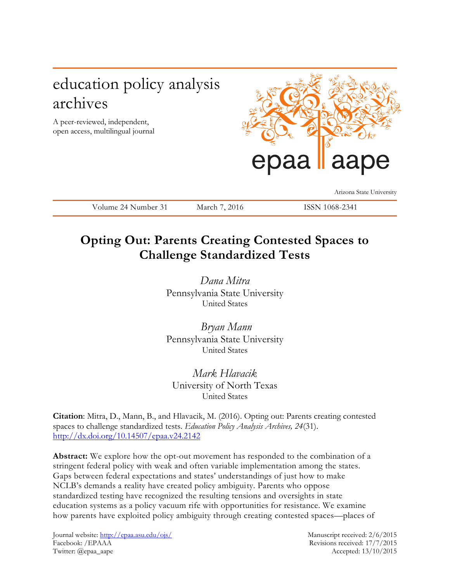# education policy analysis archives

A peer-reviewed, independent, open access, multilingual journal



Arizona State University

Volume 24 Number 31 March 7, 2016 ISSN 1068-2341

## **Opting Out: Parents Creating Contested Spaces to Challenge Standardized Tests**

*Dana Mitra* Pennsylvania State University United States

*Bryan Mann* Pennsylvania State University United States

*Mark Hlavacik* University of North Texas United States

**Citation**: Mitra, D., Mann, B., and Hlavacik, M. (2016). Opting out: Parents creating contested spaces to challenge standardized tests. *Education Policy Analysis Archives, 24*(31). <http://dx.doi.org/10.14507/epaa.v24.2142>

**Abstract:** We explore how the opt-out movement has responded to the combination of a stringent federal policy with weak and often variable implementation among the states. Gaps between federal expectations and states' understandings of just how to make NCLB's demands a reality have created policy ambiguity. Parents who oppose standardized testing have recognized the resulting tensions and oversights in state education systems as a policy vacuum rife with opportunities for resistance. We examine how parents have exploited policy ambiguity through creating contested spaces—places of

Journal website:<http://epaa.asu.edu/ojs/> Manuscript received: 2/6/2015 Facebook: /EPAAA Revisions received: 17/7/2015 Twitter: @epaa\_aape Accepted: 13/10/2015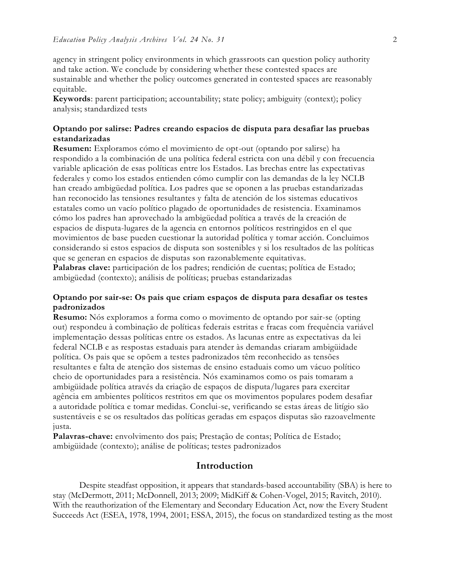agency in stringent policy environments in which grassroots can question policy authority and take action. We conclude by considering whether these contested spaces are sustainable and whether the policy outcomes generated in contested spaces are reasonably equitable.

**Keywords**: parent participation; accountability; state policy; ambiguity (context); policy analysis; standardized tests

## **Optando por salirse: Padres creando espacios de disputa para desafiar las pruebas estandarizadas**

**Resumen:** Exploramos cómo el movimiento de opt-out (optando por salirse) ha respondido a la combinación de una política federal estricta con una débil y con frecuencia variable aplicación de esas políticas entre los Estados. Las brechas entre las expectativas federales y como los estados entienden cómo cumplir con las demandas de la ley NCLB han creado ambigüedad política. Los padres que se oponen a las pruebas estandarizadas han reconocido las tensiones resultantes y falta de atención de los sistemas educativos estatales como un vacío político plagado de oportunidades de resistencia. Examinamos cómo los padres han aprovechado la ambigüedad política a través de la creación de espacios de disputa-lugares de la agencia en entornos políticos restringidos en el que movimientos de base pueden cuestionar la autoridad política y tomar acción. Concluimos considerando si estos espacios de disputa son sostenibles y si los resultados de las políticas que se generan en espacios de disputas son razonablemente equitativas.

Palabras clave: participación de los padres; rendición de cuentas; política de Estado; ambigüedad (contexto); análisis de políticas; pruebas estandarizadas

## **Optando por sair-se: Os pais que criam espaços de disputa para desafiar os testes padronizados**

**Resumo:** Nós exploramos a forma como o movimento de optando por sair-se (opting out) respondeu à combinação de políticas federais estritas e fracas com frequência variável implementação dessas políticas entre os estados. As lacunas entre as expectativas da lei federal NCLB e as respostas estaduais para atender às demandas criaram ambigüidade política. Os pais que se opõem a testes padronizados têm reconhecido as tensões resultantes e falta de atenção dos sistemas de ensino estaduais como um vácuo político cheio de oportunidades para a resistência. Nós examinamos como os pais tomaram a ambigüidade política através da criação de espaços de disputa/lugares para exercitar agência em ambientes políticos restritos em que os movimentos populares podem desafiar a autoridade política e tomar medidas. Conclui-se, verificando se estas áreas de litígio são sustentáveis e se os resultados das políticas geradas em espaços disputas são razoavelmente justa.

**Palavras-chave:** envolvimento dos pais; Prestação de contas; Política de Estado; ambigüidade (contexto); análise de políticas; testes padronizados

## **Introduction**

Despite steadfast opposition, it appears that standards-based accountability (SBA) is here to stay (McDermott, 2011; McDonnell, 2013; 2009; MidKiff & Cohen-Vogel, 2015; Ravitch, 2010). With the reauthorization of the Elementary and Secondary Education Act, now the Every Student Succeeds Act (ESEA, 1978, 1994, 2001; ESSA, 2015), the focus on standardized testing as the most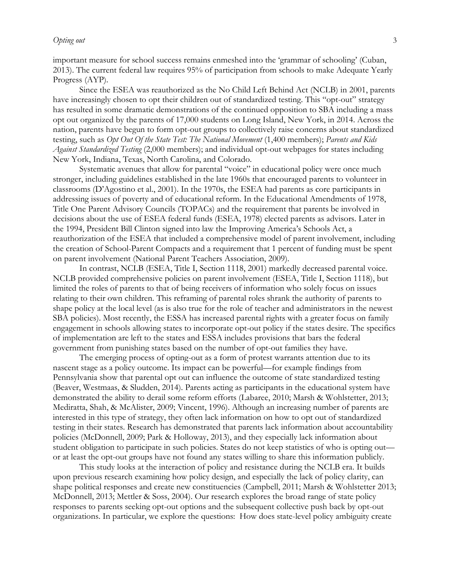important measure for school success remains enmeshed into the 'grammar of schooling' (Cuban, 2013). The current federal law requires 95% of participation from schools to make Adequate Yearly Progress (AYP).

Since the ESEA was reauthorized as the No Child Left Behind Act (NCLB) in 2001, parents have increasingly chosen to opt their children out of standardized testing. This "opt-out" strategy has resulted in some dramatic demonstrations of the continued opposition to SBA including a mass opt out organized by the parents of 17,000 students on Long Island, New York, in 2014. Across the nation, parents have begun to form opt-out groups to collectively raise concerns about standardized testing, such as *Opt Out Of the State Test: The National Movement* (1,400 members); *Parents and Kids Against Standardized Testing* (2,000 members); and individual opt-out webpages for states including New York, Indiana, Texas, North Carolina, and Colorado.

Systematic avenues that allow for parental "voice" in educational policy were once much stronger, including guidelines established in the late 1960s that encouraged parents to volunteer in classrooms (D'Agostino et al., 2001). In the 1970s, the ESEA had parents as core participants in addressing issues of poverty and of educational reform. In the Educational Amendments of 1978, Title One Parent Advisory Councils (TOPACs) and the requirement that parents be involved in decisions about the use of ESEA federal funds (ESEA, 1978) elected parents as advisors. Later in the 1994, President Bill Clinton signed into law the Improving America's Schools Act, a reauthorization of the ESEA that included a comprehensive model of parent involvement, including the creation of School-Parent Compacts and a requirement that 1 percent of funding must be spent on parent involvement (National Parent Teachers Association, 2009).

In contrast, NCLB (ESEA, Title I, Section 1118, 2001) markedly decreased parental voice. NCLB provided comprehensive policies on parent involvement (ESEA, Title I, Section 1118), but limited the roles of parents to that of being receivers of information who solely focus on issues relating to their own children. This reframing of parental roles shrank the authority of parents to shape policy at the local level (as is also true for the role of teacher and administrators in the newest SBA policies). Most recently, the ESSA has increased parental rights with a greater focus on family engagement in schools allowing states to incorporate opt-out policy if the states desire. The specifics of implementation are left to the states and ESSA includes provisions that bars the federal government from punishing states based on the number of opt-out families they have.

The emerging process of opting-out as a form of protest warrants attention due to its nascent stage as a policy outcome. Its impact can be powerful—for example findings from Pennsylvania show that parental opt out can influence the outcome of state standardized testing (Beaver, Westmaas, & Sludden, 2014). Parents acting as participants in the educational system have demonstrated the ability to derail some reform efforts (Labaree, 2010; Marsh & Wohlstetter, 2013; Mediratta, Shah, & McAlister, 2009; Vincent, 1996). Although an increasing number of parents are interested in this type of strategy, they often lack information on how to opt out of standardized testing in their states. Research has demonstrated that parents lack information about accountability policies (McDonnell, 2009; Park & Holloway, 2013), and they especially lack information about student obligation to participate in such policies. States do not keep statistics of who is opting out or at least the opt-out groups have not found any states willing to share this information publicly.

This study looks at the interaction of policy and resistance during the NCLB era. It builds upon previous research examining how policy design, and especially the lack of policy clarity, can shape political responses and create new constituencies (Campbell, 2011; Marsh & Wohlstetter 2013; McDonnell, 2013; Mettler & Soss, 2004). Our research explores the broad range of state policy responses to parents seeking opt-out options and the subsequent collective push back by opt-out organizations. In particular, we explore the questions: How does state-level policy ambiguity create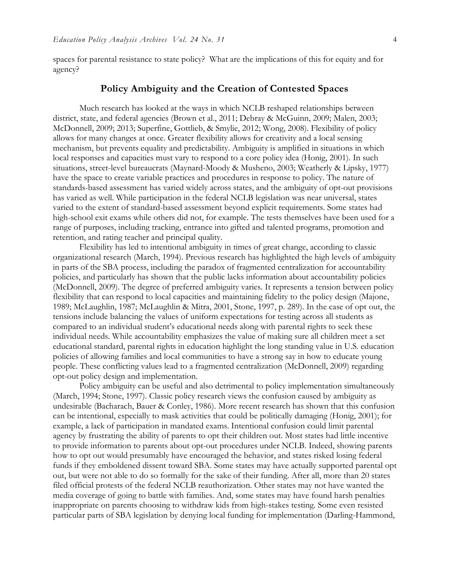spaces for parental resistance to state policy? What are the implications of this for equity and for agency?

## **Policy Ambiguity and the Creation of Contested Spaces**

Much research has looked at the ways in which NCLB reshaped relationships between district, state, and federal agencies (Brown et al., 2011; Debray & McGuinn, 2009; Malen, 2003; McDonnell, 2009; 2013; Superfine, Gottlieb, & Smylie, 2012; Wong, 2008). Flexibility of policy allows for many changes at once. Greater flexibility allows for creativity and a local sensing mechanism, but prevents equality and predictability. Ambiguity is amplified in situations in which local responses and capacities must vary to respond to a core policy idea (Honig, 2001). In such situations, street-level bureaucrats (Maynard-Moody & Musheno, 2003; Weatherly & Lipsky, 1977) have the space to create variable practices and procedures in response to policy. The nature of standards-based assessment has varied widely across states, and the ambiguity of opt-out provisions has varied as well. While participation in the federal NCLB legislation was near universal, states varied to the extent of standard-based assessment beyond explicit requirements. Some states had high-school exit exams while others did not, for example. The tests themselves have been used for a range of purposes, including tracking, entrance into gifted and talented programs, promotion and retention, and rating teacher and principal quality.

Flexibility has led to intentional ambiguity in times of great change, according to classic organizational research (March, 1994). Previous research has highlighted the high levels of ambiguity in parts of the SBA process, including the paradox of fragmented centralization for accountability policies, and particularly has shown that the public lacks information about accountability policies (McDonnell, 2009). The degree of preferred ambiguity varies. It represents a tension between policy flexibility that can respond to local capacities and maintaining fidelity to the policy design (Majone, 1989; McLaughlin, 1987; McLaughlin & Mitra, 2001, Stone, 1997, p. 289). In the case of opt out, the tensions include balancing the values of uniform expectations for testing across all students as compared to an individual student's educational needs along with parental rights to seek these individual needs. While accountability emphasizes the value of making sure all children meet a set educational standard, parental rights in education highlight the long standing value in U.S. education policies of allowing families and local communities to have a strong say in how to educate young people. These conflicting values lead to a fragmented centralization (McDonnell, 2009) regarding opt-out policy design and implementation.

Policy ambiguity can be useful and also detrimental to policy implementation simultaneously (March, 1994; Stone, 1997). Classic policy research views the confusion caused by ambiguity as undesirable (Bacharach, Bauer & Conley, 1986). More recent research has shown that this confusion can be intentional, especially to mask activities that could be politically damaging (Honig, 2001); for example, a lack of participation in mandated exams. Intentional confusion could limit parental agency by frustrating the ability of parents to opt their children out. Most states had little incentive to provide information to parents about opt-out procedures under NCLB. Indeed, showing parents how to opt out would presumably have encouraged the behavior, and states risked losing federal funds if they emboldened dissent toward SBA. Some states may have actually supported parental opt out, but were not able to do so formally for the sake of their funding. After all, more than 20 states filed official protests of the federal NCLB reauthorization. Other states may not have wanted the media coverage of going to battle with families. And, some states may have found harsh penalties inappropriate on parents choosing to withdraw kids from high-stakes testing. Some even resisted particular parts of SBA legislation by denying local funding for implementation (Darling-Hammond,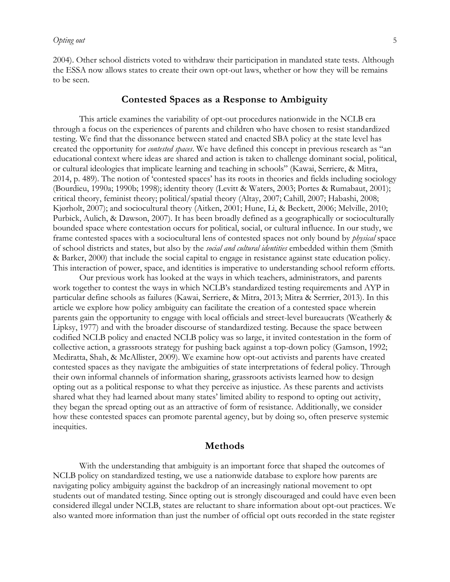2004). Other school districts voted to withdraw their participation in mandated state tests. Although the ESSA now allows states to create their own opt-out laws, whether or how they will be remains to be seen.

## **Contested Spaces as a Response to Ambiguity**

This article examines the variability of opt-out procedures nationwide in the NCLB era through a focus on the experiences of parents and children who have chosen to resist standardized testing. We find that the dissonance between stated and enacted SBA policy at the state level has created the opportunity for *contested spaces*. We have defined this concept in previous research as "an educational context where ideas are shared and action is taken to challenge dominant social, political, or cultural ideologies that implicate learning and teaching in schools" (Kawai, Serriere, & Mitra, 2014, p. 489). The notion of 'contested spaces' has its roots in theories and fields including sociology (Bourdieu, 1990a; 1990b; 1998); identity theory (Levitt & Waters, 2003; Portes & Rumabaut, 2001); critical theory, feminist theory; political/spatial theory (Altay, 2007; Cahill, 2007; Habashi, 2008; Kjørholt, 2007); and sociocultural theory (Aitken, 2001; Hune, Li, & Beckett, 2006; Melville, 2010; Purbick, Aulich, & Dawson, 2007). It has been broadly defined as a geographically or socioculturally bounded space where contestation occurs for political, social, or cultural influence. In our study, we frame contested spaces with a sociocultural lens of contested spaces not only bound by *physical* space of school districts and states, but also by the *social and cultural identities* embedded within them (Smith & Barker, 2000) that include the social capital to engage in resistance against state education policy. This interaction of power, space, and identities is imperative to understanding school reform efforts.

Our previous work has looked at the ways in which teachers, administrators, and parents work together to contest the ways in which NCLB's standardized testing requirements and AYP in particular define schools as failures (Kawai, Serriere, & Mitra, 2013; Mitra & Serrrier, 2013). In this article we explore how policy ambiguity can facilitate the creation of a contested space wherein parents gain the opportunity to engage with local officials and street-level bureaucrats (Weatherly & Lipksy, 1977) and with the broader discourse of standardized testing. Because the space between codified NCLB policy and enacted NCLB policy was so large, it invited contestation in the form of collective action, a grassroots strategy for pushing back against a top-down policy (Gamson, 1992; Mediratta, Shah, & McAllister, 2009). We examine how opt-out activists and parents have created contested spaces as they navigate the ambiguities of state interpretations of federal policy. Through their own informal channels of information sharing, grassroots activists learned how to design opting out as a political response to what they perceive as injustice. As these parents and activists shared what they had learned about many states' limited ability to respond to opting out activity, they began the spread opting out as an attractive of form of resistance. Additionally, we consider how these contested spaces can promote parental agency, but by doing so, often preserve systemic inequities.

## **Methods**

With the understanding that ambiguity is an important force that shaped the outcomes of NCLB policy on standardized testing, we use a nationwide database to explore how parents are navigating policy ambiguity against the backdrop of an increasingly national movement to opt students out of mandated testing. Since opting out is strongly discouraged and could have even been considered illegal under NCLB, states are reluctant to share information about opt-out practices. We also wanted more information than just the number of official opt outs recorded in the state register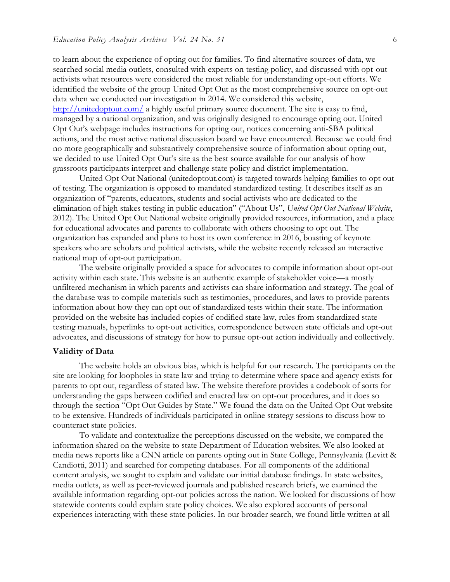to learn about the experience of opting out for families. To find alternative sources of data, we searched social media outlets, consulted with experts on testing policy, and discussed with opt-out activists what resources were considered the most reliable for understanding opt-out efforts. We identified the website of the group United Opt Out as the most comprehensive source on opt-out data when we conducted our investigation in 2014. We considered this website, <http://unitedoptout.com/> a highly useful primary source document. The site is easy to find, managed by a national organization, and was originally designed to encourage opting out. United Opt Out's webpage includes instructions for opting out, notices concerning anti-SBA political actions, and the most active national discussion board we have encountered. Because we could find no more geographically and substantively comprehensive source of information about opting out, we decided to use United Opt Out's site as the best source available for our analysis of how grassroots participants interpret and challenge state policy and district implementation.

United Opt Out National (unitedoptout.com) is targeted towards helping families to opt out of testing. The organization is opposed to mandated standardized testing. It describes itself as an organization of "parents, educators, students and social activists who are dedicated to the elimination of high stakes testing in public education" ("About Us", *United Opt Out National Website*, 2012). The United Opt Out National website originally provided resources, information, and a place for educational advocates and parents to collaborate with others choosing to opt out. The organization has expanded and plans to host its own conference in 2016, boasting of keynote speakers who are scholars and political activists, while the website recently released an interactive national map of opt-out participation.

The website originally provided a space for advocates to compile information about opt-out activity within each state. This website is an authentic example of stakeholder voice—a mostly unfiltered mechanism in which parents and activists can share information and strategy. The goal of the database was to compile materials such as testimonies, procedures, and laws to provide parents information about how they can opt out of standardized tests within their state. The information provided on the website has included copies of codified state law, rules from standardized statetesting manuals, hyperlinks to opt-out activities, correspondence between state officials and opt-out advocates, and discussions of strategy for how to pursue opt-out action individually and collectively.

#### **Validity of Data**

The website holds an obvious bias, which is helpful for our research. The participants on the site are looking for loopholes in state law and trying to determine where space and agency exists for parents to opt out, regardless of stated law. The website therefore provides a codebook of sorts for understanding the gaps between codified and enacted law on opt-out procedures, and it does so through the section "Opt Out Guides by State." We found the data on the United Opt Out website to be extensive. Hundreds of individuals participated in online strategy sessions to discuss how to counteract state policies.

To validate and contextualize the perceptions discussed on the website, we compared the information shared on the website to state Department of Education websites. We also looked at media news reports like a CNN article on parents opting out in State College, Pennsylvania (Levitt & Candiotti, 2011) and searched for competing databases. For all components of the additional content analysis, we sought to explain and validate our initial database findings. In state websites, media outlets, as well as peer-reviewed journals and published research briefs, we examined the available information regarding opt-out policies across the nation. We looked for discussions of how statewide contents could explain state policy choices. We also explored accounts of personal experiences interacting with these state policies. In our broader search, we found little written at all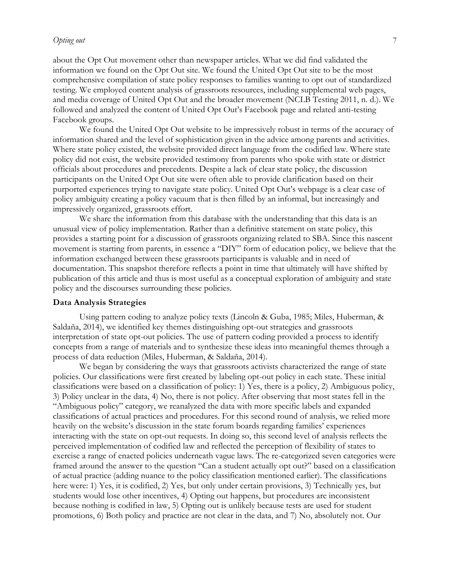#### *Opting out* 7

about the Opt Out movement other than newspaper articles. What we did find validated the information we found on the Opt Out site. We found the United Opt Out site to be the most comprehensive compilation of state policy responses to families wanting to opt out of standardized testing. We employed content analysis of grassroots resources, including supplemental web pages, and media coverage of United Opt Out and the broader movement (NCLB Testing 2011, n. d.). We followed and analyzed the content of United Opt Out's Facebook page and related anti-testing Facebook groups.

We found the United Opt Out website to be impressively robust in terms of the accuracy of information shared and the level of sophistication given in the advice among parents and activities. Where state policy existed, the website provided direct language from the codified law. Where state policy did not exist, the website provided testimony from parents who spoke with state or district officials about procedures and precedents. Despite a lack of clear state policy, the discussion participants on the United Opt Out site were often able to provide clarification based on their purported experiences trying to navigate state policy. United Opt Out's webpage is a clear case of policy ambiguity creating a policy vacuum that is then filled by an informal, but increasingly and impressively organized, grassroots effort.

We share the information from this database with the understanding that this data is an unusual view of policy implementation. Rather than a definitive statement on state policy, this provides a starting point for a discussion of grassroots organizing related to SBA. Since this nascent movement is starting from parents, in essence a "DIY" form of education policy, we believe that the information exchanged between these grassroots participants is valuable and in need of documentation. This snapshot therefore reflects a point in time that ultimately will have shifted by publication of this article and thus is most useful as a conceptual exploration of ambiguity and state policy and the discourses surrounding these policies.

#### **Data Analysis Strategies**

Using pattern coding to analyze policy texts (Lincoln & Guba, 1985; Miles, Huberman, & Saldaña, 2014), we identified key themes distinguishing opt-out strategies and grassroots interpretation of state opt-out policies. The use of pattern coding provided a process to identify concepts from a range of materials and to synthesize these ideas into meaningful themes through a process of data reduction (Miles, Huberman, & Saldaña, 2014).

We began by considering the ways that grassroots activists characterized the range of state policies. Our classifications were first created by labeling opt-out policy in each state. These initial classifications were based on a classification of policy: 1) Yes, there is a policy, 2) Ambiguous policy, 3) Policy unclear in the data, 4) No, there is not policy. After observing that most states fell in the "Ambiguous policy" category, we reanalyzed the data with more specific labels and expanded classifications of actual practices and procedures. For this second round of analysis, we relied more heavily on the website's discussion in the state forum boards regarding families' experiences interacting with the state on opt-out requests. In doing so, this second level of analysis reflects the perceived implementation of codified law and reflected the perception of flexibility of states to exercise a range of enacted policies underneath vague laws. The re-categorized seven categories were framed around the answer to the question "Can a student actually opt out?" based on a classification of actual practice (adding nuance to the policy classification mentioned earlier). The classifications here were: 1) Yes, it is codified, 2) Yes, but only under certain provisions, 3) Technically yes, but students would lose other incentives, 4) Opting out happens, but procedures are inconsistent because nothing is codified in law, 5) Opting out is unlikely because tests are used for student promotions, 6) Both policy and practice are not clear in the data, and 7) No, absolutely not. Our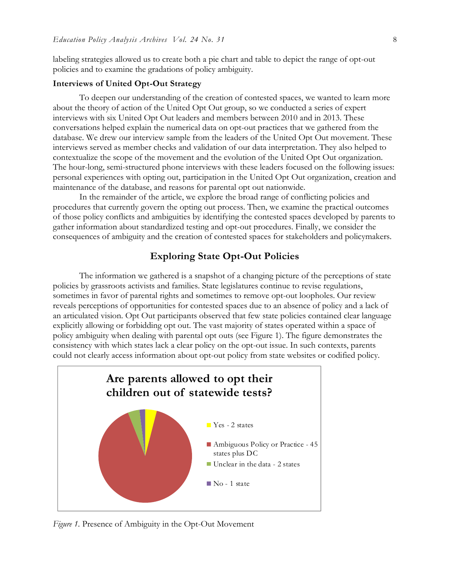labeling strategies allowed us to create both a pie chart and table to depict the range of opt-out policies and to examine the gradations of policy ambiguity.

#### **Interviews of United Opt-Out Strategy**

To deepen our understanding of the creation of contested spaces, we wanted to learn more about the theory of action of the United Opt Out group, so we conducted a series of expert interviews with six United Opt Out leaders and members between 2010 and in 2013. These conversations helped explain the numerical data on opt-out practices that we gathered from the database. We drew our interview sample from the leaders of the United Opt Out movement. These interviews served as member checks and validation of our data interpretation. They also helped to contextualize the scope of the movement and the evolution of the United Opt Out organization. The hour-long, semi-structured phone interviews with these leaders focused on the following issues: personal experiences with opting out, participation in the United Opt Out organization, creation and maintenance of the database, and reasons for parental opt out nationwide.

In the remainder of the article, we explore the broad range of conflicting policies and procedures that currently govern the opting out process. Then, we examine the practical outcomes of those policy conflicts and ambiguities by identifying the contested spaces developed by parents to gather information about standardized testing and opt-out procedures. Finally, we consider the consequences of ambiguity and the creation of contested spaces for stakeholders and policymakers.

## **Exploring State Opt-Out Policies**

The information we gathered is a snapshot of a changing picture of the perceptions of state policies by grassroots activists and families. State legislatures continue to revise regulations, sometimes in favor of parental rights and sometimes to remove opt-out loopholes. Our review reveals perceptions of opportunities for contested spaces due to an absence of policy and a lack of an articulated vision. Opt Out participants observed that few state policies contained clear language explicitly allowing or forbidding opt out. The vast majority of states operated within a space of policy ambiguity when dealing with parental opt outs (see Figure 1). The figure demonstrates the consistency with which states lack a clear policy on the opt-out issue. In such contexts, parents could not clearly access information about opt-out policy from state websites or codified policy.



*Figure 1.* Presence of Ambiguity in the Opt-Out Movement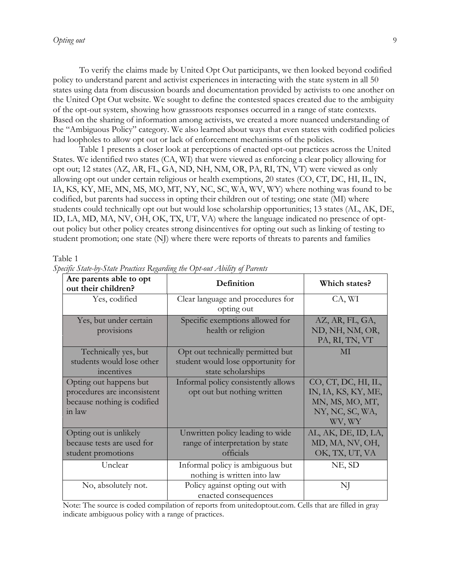To verify the claims made by United Opt Out participants, we then looked beyond codified policy to understand parent and activist experiences in interacting with the state system in all 50 states using data from discussion boards and documentation provided by activists to one another on the United Opt Out website. We sought to define the contested spaces created due to the ambiguity of the opt-out system, showing how grassroots responses occurred in a range of state contexts. Based on the sharing of information among activists, we created a more nuanced understanding of the "Ambiguous Policy" category. We also learned about ways that even states with codified policies had loopholes to allow opt out or lack of enforcement mechanisms of the policies.

Table 1 presents a closer look at perceptions of enacted opt-out practices across the United States. We identified two states (CA, WI) that were viewed as enforcing a clear policy allowing for opt out; 12 states (AZ, AR, FL, GA, ND, NH, NM, OR, PA, RI, TN, VT) were viewed as only allowing opt out under certain religious or health exemptions, 20 states (CO, CT, DC, HI, IL, IN, IA, KS, KY, ME, MN, MS, MO, MT, NY, NC, SC, WA, WV, WY) where nothing was found to be codified, but parents had success in opting their children out of testing; one state (MI) where students could technically opt out but would lose scholarship opportunities; 13 states (AL, AK, DE, ID, LA, MD, MA, NV, OH, OK, TX, UT, VA) where the language indicated no presence of optout policy but other policy creates strong disincentives for opting out such as linking of testing to student promotion; one state (NJ) where there were reports of threats to parents and families

#### Table 1

| Are parents able to opt<br>out their children? | Definition                          | Which states?       |
|------------------------------------------------|-------------------------------------|---------------------|
| Yes, codified                                  | Clear language and procedures for   | CA, WI              |
|                                                | opting out                          |                     |
| Yes, but under certain                         | Specific exemptions allowed for     | AZ, AR, FL, GA,     |
| provisions                                     | health or religion                  | ND, NH, NM, OR,     |
|                                                |                                     | PA, RI, TN, VT      |
| Technically yes, but                           | Opt out technically permitted but   | MI                  |
| students would lose other                      | student would lose opportunity for  |                     |
| incentives                                     | state scholarships                  |                     |
| Opting out happens but                         | Informal policy consistently allows | CO, CT, DC, HI, IL, |
| procedures are inconsistent                    | opt out but nothing written         | IN, IA, KS, KY, ME, |
| because nothing is codified                    |                                     | MN, MS, MO, MT,     |
| in law                                         |                                     | NY, NC, SC, WA,     |
|                                                |                                     | WV, WY              |
| Opting out is unlikely                         | Unwritten policy leading to wide    | AL, AK, DE, ID, LA, |
| because tests are used for                     | range of interpretation by state    | MD, MA, NV, OH,     |
| student promotions                             | officials                           | OK, TX, UT, VA      |
| Unclear                                        | Informal policy is ambiguous but    | NE, SD              |
|                                                | nothing is written into law         |                     |
| No, absolutely not.                            | Policy against opting out with      | NJ                  |
|                                                | enacted consequences                |                     |

*Specific State-by-State Practices Regarding the Opt-out Ability of Parents* 

Note: The source is coded compilation of reports from unitedoptout.com. Cells that are filled in gray indicate ambiguous policy with a range of practices.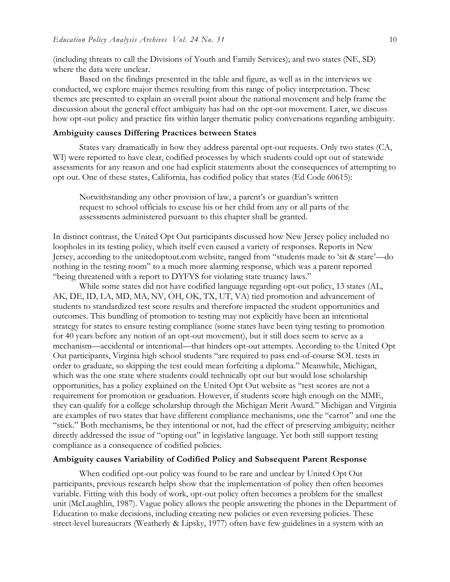(including threats to call the Divisions of Youth and Family Services); and two states (NE, SD) where the data were unclear.

Based on the findings presented in the table and figure, as well as in the interviews we conducted, we explore major themes resulting from this range of policy interpretation. These themes are presented to explain an overall point about the national movement and help frame the discussion about the general effect ambiguity has had on the opt-out movement. Later, we discuss how opt-out policy and practice fits within larger thematic policy conversations regarding ambiguity.

#### **Ambiguity causes Differing Practices between States**

States vary dramatically in how they address parental opt-out requests. Only two states (CA, WI) were reported to have clear, codified processes by which students could opt out of statewide assessments for any reason and one had explicit statements about the consequences of attempting to opt out. One of these states, California, has codified policy that states (Ed Code 60615):

Notwithstanding any other provision of law, a parent's or guardian's written request to school officials to excuse his or her child from any or all parts of the assessments administered pursuant to this chapter shall be granted.

In distinct contrast, the United Opt Out participants discussed how New Jersey policy included no loopholes in its testing policy, which itself even caused a variety of responses. Reports in New Jersey, according to the unitedoptout.com website, ranged from "students made to 'sit & stare'—do nothing in the testing room" to a much more alarming response, which was a parent reported "being threatened with a report to DYFYS for violating state truancy laws."

While some states did not have codified language regarding opt-out policy, 13 states (AL, AK, DE, ID, LA, MD, MA, NV, OH, OK, TX, UT, VA) tied promotion and advancement of students to standardized test score results and therefore impacted the student opportunities and outcomes. This bundling of promotion to testing may not explicitly have been an intentional strategy for states to ensure testing compliance (some states have been tying testing to promotion for 40 years before any notion of an opt-out movement), but it still does seem to serve as a mechanism—accidental or intentional—that hinders opt-out attempts. According to the United Opt Out participants, Virginia high school students "are required to pass end-of-course SOL tests in order to graduate, so skipping the test could mean forfeiting a diploma." Meanwhile, Michigan, which was the one state where students could technically opt out but would lose scholarship opportunities, has a policy explained on the United Opt Out website as "test scores are not a requirement for promotion or graduation. However, if students score high enough on the MME, they can qualify for a college scholarship through the Michigan Merit Award." Michigan and Virginia are examples of two states that have different compliance mechanisms, one the "carrot" and one the "stick." Both mechanisms, be they intentional or not, had the effect of preserving ambiguity; neither directly addressed the issue of "opting out" in legislative language. Yet both still support testing compliance as a consequence of codified policies.

## **Ambiguity causes Variability of Codified Policy and Subsequent Parent Response**

When codified opt-out policy was found to be rare and unclear by United Opt Out participants, previous research helps show that the implementation of policy then often becomes variable. Fitting with this body of work, opt-out policy often becomes a problem for the smallest unit (McLaughlin, 1987). Vague policy allows the people answering the phones in the Department of Education to make decisions, including creating new policies or even reversing policies. These street-level bureaucrats (Weatherly & Lipsky, 1977) often have few guidelines in a system with an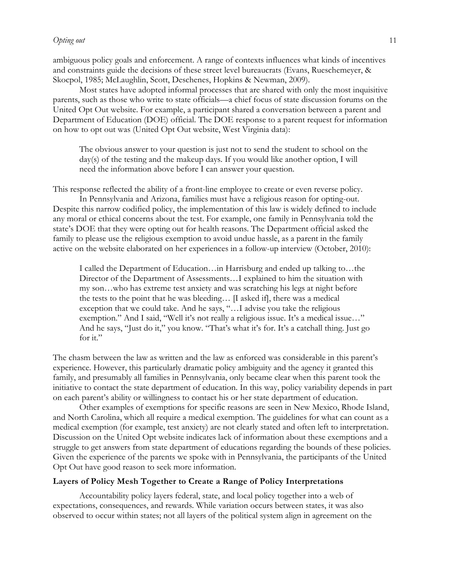ambiguous policy goals and enforcement. A range of contexts influences what kinds of incentives and constraints guide the decisions of these street level bureaucrats (Evans, Rueschemeyer, & Skocpol, 1985; McLaughlin, Scott, Deschenes, Hopkins & Newman, 2009).

Most states have adopted informal processes that are shared with only the most inquisitive parents, such as those who write to state officials—a chief focus of state discussion forums on the United Opt Out website. For example, a participant shared a conversation between a parent and Department of Education (DOE) official. The DOE response to a parent request for information on how to opt out was (United Opt Out website, West Virginia data):

The obvious answer to your question is just not to send the student to school on the day(s) of the testing and the makeup days. If you would like another option, I will need the information above before I can answer your question.

This response reflected the ability of a front-line employee to create or even reverse policy.

In Pennsylvania and Arizona, families must have a religious reason for opting-out. Despite this narrow codified policy, the implementation of this law is widely defined to include any moral or ethical concerns about the test. For example, one family in Pennsylvania told the state's DOE that they were opting out for health reasons. The Department official asked the family to please use the religious exemption to avoid undue hassle, as a parent in the family active on the website elaborated on her experiences in a follow-up interview (October, 2010):

I called the Department of Education…in Harrisburg and ended up talking to…the Director of the Department of Assessments…I explained to him the situation with my son…who has extreme test anxiety and was scratching his legs at night before the tests to the point that he was bleeding… [I asked if], there was a medical exception that we could take. And he says, "…I advise you take the religious exemption." And I said, "Well it's not really a religious issue. It's a medical issue…" And he says, "Just do it," you know. "That's what it's for. It's a catchall thing. Just go for it."

The chasm between the law as written and the law as enforced was considerable in this parent's experience. However, this particularly dramatic policy ambiguity and the agency it granted this family, and presumably all families in Pennsylvania, only became clear when this parent took the initiative to contact the state department of education. In this way, policy variability depends in part on each parent's ability or willingness to contact his or her state department of education.

Other examples of exemptions for specific reasons are seen in New Mexico, Rhode Island, and North Carolina, which all require a medical exemption. The guidelines for what can count as a medical exemption (for example, test anxiety) are not clearly stated and often left to interpretation. Discussion on the United Opt website indicates lack of information about these exemptions and a struggle to get answers from state department of educations regarding the bounds of these policies. Given the experience of the parents we spoke with in Pennsylvania, the participants of the United Opt Out have good reason to seek more information.

## **Layers of Policy Mesh Together to Create a Range of Policy Interpretations**

Accountability policy layers federal, state, and local policy together into a web of expectations, consequences, and rewards. While variation occurs between states, it was also observed to occur within states; not all layers of the political system align in agreement on the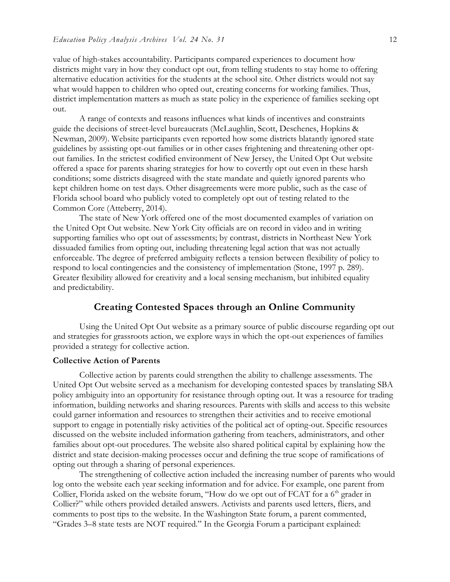value of high-stakes accountability. Participants compared experiences to document how districts might vary in how they conduct opt out, from telling students to stay home to offering alternative education activities for the students at the school site. Other districts would not say what would happen to children who opted out, creating concerns for working families. Thus, district implementation matters as much as state policy in the experience of families seeking opt out.

A range of contexts and reasons influences what kinds of incentives and constraints guide the decisions of street-level bureaucrats (McLaughlin, Scott, Deschenes, Hopkins & Newman, 2009). Website participants even reported how some districts blatantly ignored state guidelines by assisting opt-out families or in other cases frightening and threatening other optout families. In the strictest codified environment of New Jersey, the United Opt Out website offered a space for parents sharing strategies for how to covertly opt out even in these harsh conditions; some districts disagreed with the state mandate and quietly ignored parents who kept children home on test days. Other disagreements were more public, such as the case of Florida school board who publicly voted to completely opt out of testing related to the Common Core (Atteberry, 2014).

The state of New York offered one of the most documented examples of variation on the United Opt Out website. New York City officials are on record in video and in writing supporting families who opt out of assessments; by contrast, districts in Northeast New York dissuaded families from opting out, including threatening legal action that was not actually enforceable. The degree of preferred ambiguity reflects a tension between flexibility of policy to respond to local contingencies and the consistency of implementation (Stone, 1997 p. 289). Greater flexibility allowed for creativity and a local sensing mechanism, but inhibited equality and predictability.

## **Creating Contested Spaces through an Online Community**

Using the United Opt Out website as a primary source of public discourse regarding opt out and strategies for grassroots action, we explore ways in which the opt-out experiences of families provided a strategy for collective action.

#### **Collective Action of Parents**

Collective action by parents could strengthen the ability to challenge assessments. The United Opt Out website served as a mechanism for developing contested spaces by translating SBA policy ambiguity into an opportunity for resistance through opting out. It was a resource for trading information, building networks and sharing resources. Parents with skills and access to this website could garner information and resources to strengthen their activities and to receive emotional support to engage in potentially risky activities of the political act of opting-out. Specific resources discussed on the website included information gathering from teachers, administrators, and other families about opt-out procedures. The website also shared political capital by explaining how the district and state decision-making processes occur and defining the true scope of ramifications of opting out through a sharing of personal experiences.

The strengthening of collective action included the increasing number of parents who would log onto the website each year seeking information and for advice. For example, one parent from Collier, Florida asked on the website forum, "How do we opt out of FCAT for a  $6<sup>th</sup>$  grader in Collier?" while others provided detailed answers. Activists and parents used letters, fliers, and comments to post tips to the website. In the Washington State forum, a parent commented, "Grades 3–8 state tests are NOT required." In the Georgia Forum a participant explained: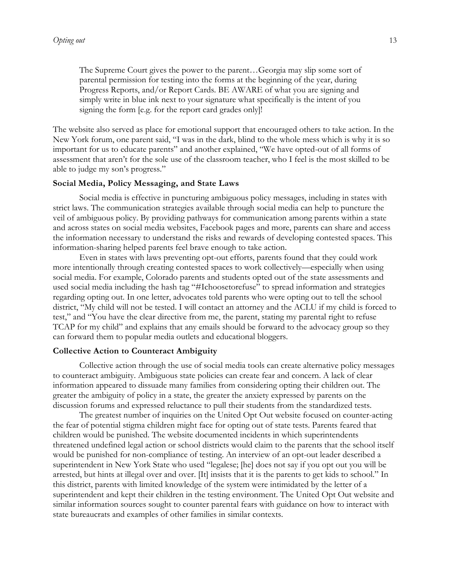The Supreme Court gives the power to the parent…Georgia may slip some sort of parental permission for testing into the forms at the beginning of the year, during Progress Reports, and/or Report Cards. BE AWARE of what you are signing and simply write in blue ink next to your signature what specifically is the intent of you signing the form [e.g. for the report card grades only]!

The website also served as place for emotional support that encouraged others to take action. In the New York forum, one parent said, "I was in the dark, blind to the whole mess which is why it is so important for us to educate parents" and another explained, "We have opted-out of all forms of assessment that aren't for the sole use of the classroom teacher, who I feel is the most skilled to be able to judge my son's progress."

#### **Social Media, Policy Messaging, and State Laws**

Social media is effective in puncturing ambiguous policy messages, including in states with strict laws. The communication strategies available through social media can help to puncture the veil of ambiguous policy. By providing pathways for communication among parents within a state and across states on social media websites, Facebook pages and more, parents can share and access the information necessary to understand the risks and rewards of developing contested spaces. This information-sharing helped parents feel brave enough to take action.

Even in states with laws preventing opt-out efforts, parents found that they could work more intentionally through creating contested spaces to work collectively—especially when using social media. For example, Colorado parents and students opted out of the state assessments and used social media including the hash tag "#Ichoosetorefuse" to spread information and strategies regarding opting out. In one letter, advocates told parents who were opting out to tell the school district, "My child will not be tested. I will contact an attorney and the ACLU if my child is forced to test," and "You have the clear directive from me, the parent, stating my parental right to refuse TCAP for my child" and explains that any emails should be forward to the advocacy group so they can forward them to popular media outlets and educational bloggers.

### **Collective Action to Counteract Ambiguity**

Collective action through the use of social media tools can create alternative policy messages to counteract ambiguity. Ambiguous state policies can create fear and concern. A lack of clear information appeared to dissuade many families from considering opting their children out. The greater the ambiguity of policy in a state, the greater the anxiety expressed by parents on the discussion forums and expressed reluctance to pull their students from the standardized tests.

The greatest number of inquiries on the United Opt Out website focused on counter-acting the fear of potential stigma children might face for opting out of state tests. Parents feared that children would be punished. The website documented incidents in which superintendents threatened undefined legal action or school districts would claim to the parents that the school itself would be punished for non-compliance of testing. An interview of an opt-out leader described a superintendent in New York State who used "legalese; [he] does not say if you opt out you will be arrested, but hints at illegal over and over. [It] insists that it is the parents to get kids to school." In this district, parents with limited knowledge of the system were intimidated by the letter of a superintendent and kept their children in the testing environment. The United Opt Out website and similar information sources sought to counter parental fears with guidance on how to interact with state bureaucrats and examples of other families in similar contexts.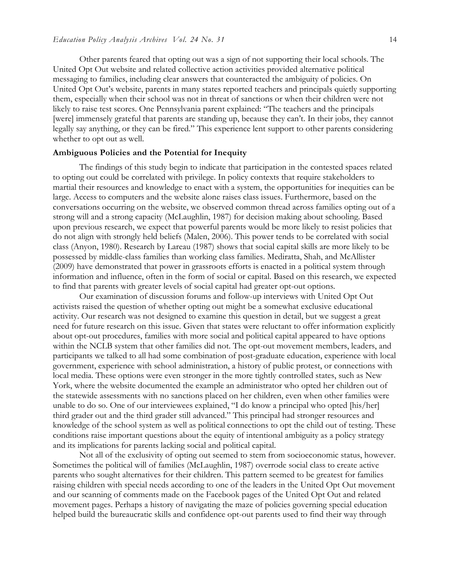Other parents feared that opting out was a sign of not supporting their local schools. The United Opt Out website and related collective action activities provided alternative political messaging to families, including clear answers that counteracted the ambiguity of policies. On United Opt Out's website, parents in many states reported teachers and principals quietly supporting them, especially when their school was not in threat of sanctions or when their children were not likely to raise test scores. One Pennsylvania parent explained: "The teachers and the principals [were] immensely grateful that parents are standing up, because they can't. In their jobs, they cannot legally say anything, or they can be fired." This experience lent support to other parents considering whether to opt out as well.

#### **Ambiguous Policies and the Potential for Inequity**

The findings of this study begin to indicate that participation in the contested spaces related to opting out could be correlated with privilege. In policy contexts that require stakeholders to martial their resources and knowledge to enact with a system, the opportunities for inequities can be large. Access to computers and the website alone raises class issues. Furthermore, based on the conversations occurring on the website, we observed common thread across families opting out of a strong will and a strong capacity (McLaughlin, 1987) for decision making about schooling. Based upon previous research, we expect that powerful parents would be more likely to resist policies that do not align with strongly held beliefs (Malen, 2006). This power tends to be correlated with social class (Anyon, 1980). Research by Lareau (1987) shows that social capital skills are more likely to be possessed by middle-class families than working class families. Mediratta, Shah, and McAllister (2009) have demonstrated that power in grassroots efforts is enacted in a political system through information and influence, often in the form of social or capital. Based on this research, we expected to find that parents with greater levels of social capital had greater opt-out options.

Our examination of discussion forums and follow-up interviews with United Opt Out activists raised the question of whether opting out might be a somewhat exclusive educational activity. Our research was not designed to examine this question in detail, but we suggest a great need for future research on this issue. Given that states were reluctant to offer information explicitly about opt-out procedures, families with more social and political capital appeared to have options within the NCLB system that other families did not. The opt-out movement members, leaders, and participants we talked to all had some combination of post-graduate education, experience with local government, experience with school administration, a history of public protest, or connections with local media. These options were even stronger in the more tightly controlled states, such as New York, where the website documented the example an administrator who opted her children out of the statewide assessments with no sanctions placed on her children, even when other families were unable to do so. One of our interviewees explained, "I do know a principal who opted [his/her] third grader out and the third grader still advanced." This principal had stronger resources and knowledge of the school system as well as political connections to opt the child out of testing. These conditions raise important questions about the equity of intentional ambiguity as a policy strategy and its implications for parents lacking social and political capital.

Not all of the exclusivity of opting out seemed to stem from socioeconomic status, however. Sometimes the political will of families (McLaughlin, 1987) overrode social class to create active parents who sought alternatives for their children. This pattern seemed to be greatest for families raising children with special needs according to one of the leaders in the United Opt Out movement and our scanning of comments made on the Facebook pages of the United Opt Out and related movement pages. Perhaps a history of navigating the maze of policies governing special education helped build the bureaucratic skills and confidence opt-out parents used to find their way through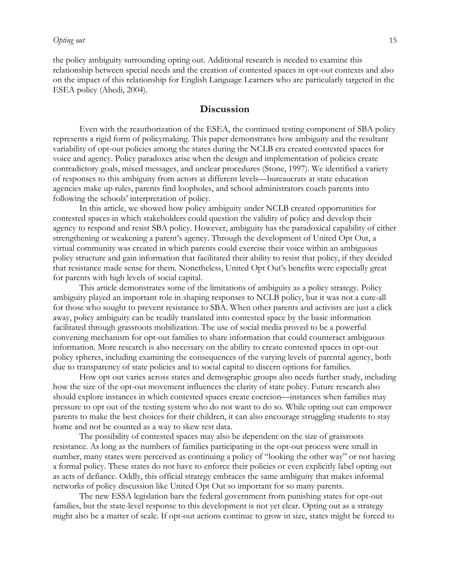the policy ambiguity surrounding opting out. Additional research is needed to examine this relationship between special needs and the creation of contested spaces in opt-out contexts and also on the impact of this relationship for English Language Learners who are particularly targeted in the ESEA policy (Abedi, 2004).

## **Discussion**

Even with the reauthorization of the ESEA, the continued testing component of SBA policy represents a rigid form of policymaking. This paper demonstrates how ambiguity and the resultant variability of opt-out policies among the states during the NCLB era created contested spaces for voice and agency. Policy paradoxes arise when the design and implementation of policies create contradictory goals, mixed messages, and unclear procedures (Stone, 1997). We identified a variety of responses to this ambiguity from actors at different levels—bureaucrats at state education agencies make up rules, parents find loopholes, and school administrators coach parents into following the schools' interpretation of policy.

In this article, we showed how policy ambiguity under NCLB created opportunities for contested spaces in which stakeholders could question the validity of policy and develop their agency to respond and resist SBA policy. However, ambiguity has the paradoxical capability of either strengthening or weakening a parent's agency. Through the development of United Opt Out, a virtual community was created in which parents could exercise their voice within an ambiguous policy structure and gain information that facilitated their ability to resist that policy, if they decided that resistance made sense for them. Nonetheless, United Opt Out's benefits were especially great for parents with high levels of social capital.

This article demonstrates some of the limitations of ambiguity as a policy strategy. Policy ambiguity played an important role in shaping responses to NCLB policy, but it was not a cure-all for those who sought to prevent resistance to SBA. When other parents and activists are just a click away, policy ambiguity can be readily translated into contested space by the basic information facilitated through grassroots mobilization. The use of social media proved to be a powerful convening mechanism for opt-out families to share information that could counteract ambiguous information. More research is also necessary on the ability to create contested spaces in opt-out policy spheres, including examining the consequences of the varying levels of parental agency, both due to transparency of state policies and to social capital to discern options for families.

How opt out varies across states and demographic groups also needs further study, including how the size of the opt-out movement influences the clarity of state policy. Future research also should explore instances in which contested spaces create coercion—instances when families may pressure to opt out of the testing system who do not want to do so. While opting out can empower parents to make the best choices for their children, it can also encourage struggling students to stay home and not be counted as a way to skew test data.

The possibility of contested spaces may also be dependent on the size of grassroots resistance. As long as the numbers of families participating in the opt-out process were small in number, many states were perceived as continuing a policy of "looking the other way" or not having a formal policy. These states do not have to enforce their policies or even explicitly label opting out as acts of defiance. Oddly, this official strategy embraces the same ambiguity that makes informal networks of policy discussion like United Opt Out so important for so many parents.

The new ESSA legislation bars the federal government from punishing states for opt-out families, but the state-level response to this development is not yet clear. Opting out as a strategy might also be a matter of scale. If opt-out actions continue to grow in size, states might be forced to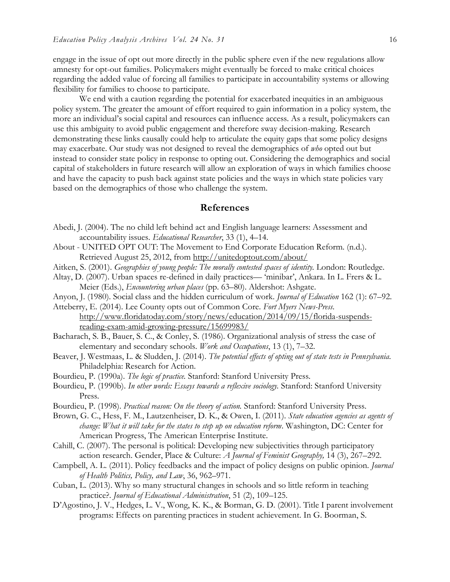engage in the issue of opt out more directly in the public sphere even if the new regulations allow amnesty for opt-out families. Policymakers might eventually be forced to make critical choices regarding the added value of forcing all families to participate in accountability systems or allowing flexibility for families to choose to participate.

We end with a caution regarding the potential for exacerbated inequities in an ambiguous policy system. The greater the amount of effort required to gain information in a policy system, the more an individual's social capital and resources can influence access. As a result, policymakers can use this ambiguity to avoid public engagement and therefore sway decision-making. Research demonstrating these links causally could help to articulate the equity gaps that some policy designs may exacerbate. Our study was not designed to reveal the demographics of *who* opted out but instead to consider state policy in response to opting out. Considering the demographics and social capital of stakeholders in future research will allow an exploration of ways in which families choose and have the capacity to push back against state policies and the ways in which state policies vary based on the demographics of those who challenge the system.

### **References**

- Abedi, J. (2004). The no child left behind act and English language learners: Assessment and accountability issues. *Educational Researcher*, 33 (1), 4–14.
- About UNITED OPT OUT: The Movement to End Corporate Education Reform. (n.d.). Retrieved August 25, 2012, from<http://unitedoptout.com/about/>
- Aitken, S. (2001). *Geographies of young people: The morally contested spaces of identity.* London: Routledge.
- Altay, D. (2007). Urban spaces re-defined in daily practices— 'minibar', Ankara. In L. Frers & L. Meier (Eds.), *Encountering urban places* (pp. 63–80). Aldershot: Ashgate.
- Anyon, J. (1980). Social class and the hidden curriculum of work. *Journal of Education* 162 (1): 67–92.
- Atteberry, E. (2014). Lee County opts out of Common Core. *Fort Myers News-Press*. [http://www.floridatoday.com/story/news/education/2014/09/15/florida-suspends](http://www.floridatoday.com/story/news/education/2014/09/15/florida-suspends-reading-exam-amid-growing-pressure/15699983/)[reading-exam-amid-growing-pressure/15699983/](http://www.floridatoday.com/story/news/education/2014/09/15/florida-suspends-reading-exam-amid-growing-pressure/15699983/)
- Bacharach, S. B., Bauer, S. C., & Conley, S. (1986). Organizational analysis of stress the case of elementary and secondary schools. *Work and Occupations*, 13 (1), 7–32.
- Beaver, J. Westmaas, L. & Sludden, J. (2014). *The potential effects of opting out of state tests in Pennsylvania.*  Philadelphia: Research for Action.
- Bourdieu, P. (1990a). *The logic of practice.* Stanford: Stanford University Press.
- Bourdieu, P. (1990b). *In other words: Essays towards a reflexive sociology.* Stanford: Stanford University Press.
- Bourdieu, P. (1998). *Practical reason: On the theory of action.* Stanford: Stanford University Press.
- Brown, G. C., Hess, F. M., Lautzenheiser, D. K., & Owen, I. (2011). *State education agencies as agents of change: What it will take for the states to step up on education reform*. Washington, DC: Center for American Progress, The American Enterprise Institute.
- Cahill, C. (2007). The personal is political: Developing new subjectivities through participatory action research. Gender, Place & Culture: *A Journal of Feminist Geography,* 14 (3), 267–292.
- Campbell, A. L. (2011). Policy feedbacks and the impact of policy designs on public opinion. *Journal of Health Politics, Policy, and Law*, 36, 962–971.
- Cuban, L. (2013). Why so many structural changes in schools and so little reform in teaching practice?. *Journal of Educational Administration*, 51 (2), 109–125.
- D'Agostino, J. V., Hedges, L. V., Wong, K. K., & Borman, G. D. (2001). Title I parent involvement programs: Effects on parenting practices in student achievement. In G. Boorman, S.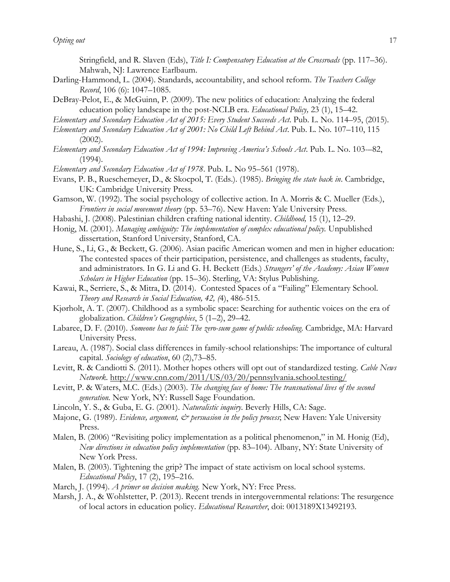Stringfield, and R. Slaven (Eds), *Title I: Compensatory Education at the Crossroads* (pp. 117–36). Mahwah, NJ: Lawrence Earlbaum.

- Darling-Hammond, L. (2004). Standards, accountability, and school reform. *The Teachers College Record*, 106 (6): 1047–1085.
- DeBray-Pelot, E., & McGuinn, P. (2009). The new politics of education: Analyzing the federal education policy landscape in the post-NCLB era. *Educational Policy,* 23 (1), 15–42.
- *Elementary and Secondary Education Act of 2015: Every Student Succeeds Act*. Pub. L. No. 114–95, (2015).
- *Elementary and Secondary Education Act of 2001: No Child Left Behind Act*. Pub. L. No. 107–110, 115 (2002).
- *Elementary and Secondary Education Act of 1994: Improving America's Schools Act*. Pub. L. No. 103-–82, (1994).
- *Elementary and Secondary Education Act of 1978*. Pub. L. No 95–561 (1978).
- Evans, P. B., Rueschemeyer, D., & Skocpol, T. (Eds.). (1985). *Bringing the state back in*. Cambridge, UK: Cambridge University Press.
- Gamson, W. (1992). The social psychology of collective action. In A. Morris & C. Mueller (Eds.), *Frontiers in social movement theory* (pp. 53–76). New Haven: Yale University Press.
- Habashi, J. (2008). Palestinian children crafting national identity*. Childhood,* 15 (1), 12–29.
- Honig, M. (2001). *Managing ambiguity: The implementation of complex educational policy.* Unpublished dissertation, Stanford University, Stanford, CA.
- Hune, S., Li, G., & Beckett, G. (2006). Asian pacific American women and men in higher education: The contested spaces of their participation, persistence, and challenges as students, faculty, and administrators. In G. Li and G. H. Beckett (Eds.) *Strangers' of the Academy: Asian Women Scholars in Higher Education* (pp. 15–36). Sterling, VA: Stylus Publishing.
- Kawai, R., Serriere, S., & Mitra, D. (2014). Contested Spaces of a "Failing" Elementary School. *Theory and Research in Social Education, 42, (*4), 486-515.
- Kjørholt, A. T. (2007). Childhood as a symbolic space: Searching for authentic voices on the era of globalization. *Children's Geographies*, 5 (1–2), 29–42.
- Labaree, D. F. (2010). *Someone has to fail: The zero-sum game of public schooling*. Cambridge, MA: Harvard University Press.
- Lareau, A. (1987). Social class differences in family-school relationships: The importance of cultural capital. *Sociology of education*, 60 (2),73–85.
- Levitt, R. & Candiotti S. (2011). Mother hopes others will opt out of standardized testing. *Cable News Network*.<http://www.cnn.com/2011/US/03/20/pennsylvania.school.testing/>
- Levitt, P. & Waters, M.C. (Eds.) (2003). *The changing face of home: The transnational lives of the second generation.* New York, NY: Russell Sage Foundation.
- Lincoln, Y. S., & Guba, E. G. (2001). *Naturalistic inquiry*. Beverly Hills, CA: Sage.
- Majone, G. (1989). *Evidence, argument, & persuasion in the policy process*; New Haven: Yale University Press.
- Malen, B. (2006) "Revisiting policy implementation as a political phenomenon," in M. Honig (Ed), *New directions in education policy implementation* (pp. 83–104). Albany, NY: State University of New York Press.
- Malen, B. (2003). Tightening the grip? The impact of state activism on local school systems. *Educational Policy*, 17 (2), 195–216.
- March, J. (1994). *A primer on decision making.* New York, NY: Free Press.
- Marsh, J. A., & Wohlstetter, P. (2013). Recent trends in intergovernmental relations: The resurgence of local actors in education policy. *Educational Researcher*, doi: 0013189X13492193.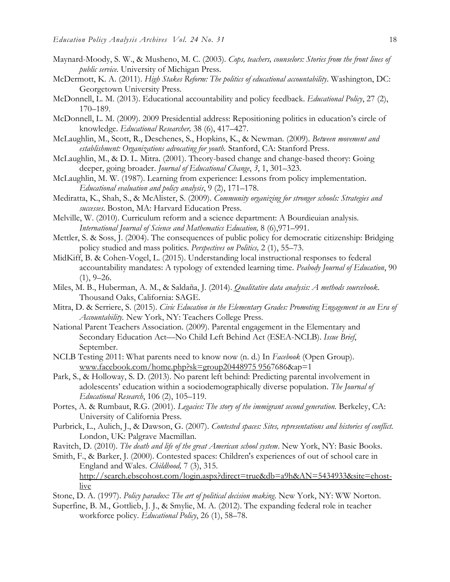- Maynard-Moody, S. W., & Musheno, M. C. (2003). *Cops, teachers, counselors: Stories from the front lines of public service*. University of Michigan Press.
- McDermott, K. A. (2011). *High Stakes Reform: The politics of educational accountability*. Washington, DC: Georgetown University Press.
- McDonnell, L. M. (2013). Educational accountability and policy feedback. *Educational Policy*, 27 (2), 170–189.
- McDonnell, L. M. (2009). 2009 Presidential address: Repositioning politics in education's circle of knowledge. *Educational Researcher,* 38 (6), 417–427.
- McLaughlin, M., Scott, R., Deschenes, S., Hopkins, K., & Newman. (2009). *Between movement and establishment: Organizations advocating for youth.* Stanford, CA: Stanford Press.
- McLaughlin, M., & D. L. Mitra. (2001). Theory-based change and change-based theory: Going deeper, going broader. *Journal of Educational Change*, *3*, 1, 301–323.
- McLaughlin, M. W. (1987). Learning from experience: Lessons from policy implementation. *Educational evaluation and policy analysis*, 9 (2), 171–178.
- Mediratta, K., Shah, S., & McAlister, S. (2009). *Community organizing for stronger schools: Strategies and successes*. Boston, MA: Harvard Education Press.
- Melville, W. (2010). Curriculum reform and a science department: A Bourdieuian analysis. *International Journal of Science and Mathematics Education,* 8 (6),971–991.
- Mettler, S. & Soss, J. (2004). The consequences of public policy for democratic citizenship: Bridging policy studied and mass politics. *Perspectives on Politics,* 2 (1), 55–73.
- MidKiff, B. & Cohen-Vogel, L. (2015). Understanding local instructional responses to federal accountability mandates: A typology of extended learning time. *Peabody Journal of Education*, 90  $(1), 9-26.$
- Miles, M. B., Huberman, A. M., & Saldaña, J. (2014). *Qualitative data analysis: A methods sourcebook*. Thousand Oaks, California: SAGE.
- Mitra, D. & Serriere, S. (2015). *Civic Education in the Elementary Grades: Promoting Engagement in an Era of Accountability.* New York, NY: Teachers College Press.
- National Parent Teachers Association. (2009). Parental engagement in the Elementary and Secondary Education Act—No Child Left Behind Act (ESEA-NCLB). *Issue Brief*, September.
- NCLB Testing 2011: What parents need to know now (n. d.) In *Facebook* (Open Group). [www.facebook.com/home.php?sk=group20448975 9567](http://www.facebook.com/home.php?sk=group20448975%20956)686&ap=1
- Park, S., & Holloway, S. D. (2013). No parent left behind: Predicting parental involvement in adolescents' education within a sociodemographically diverse population. *The Journal of Educational Research*, 106 (2), 105–119.
- Portes, A. & Rumbaut, R.G. (2001). *Legacies: The story of the immigrant second generation*. Berkeley, CA: University of California Press.
- Purbrick, L., Aulich, J., & Dawson, G. (2007). *Contested spaces: Sites, representations and histories of conflict.* London, UK: Palgrave Macmillan.
- Ravitch, D. (2010). *The death and life of the great American school system*. New York, NY: Basic Books.
- Smith, F., & Barker, J. (2000). Contested spaces: Children's experiences of out of school care in England and Wales. *Childhood,* 7 (3), 315. [http://search.ebscohost.com/login.aspx?direct=true&db=a9h&AN=5434933&site=ehost](http://search.ebscohost.com/login.aspx?direct=true&db=a9h&AN=5434933&site=ehost-live)[live](http://search.ebscohost.com/login.aspx?direct=true&db=a9h&AN=5434933&site=ehost-live)
- Stone, D. A. (1997). *Policy paradox: The art of political decision making*. New York, NY: WW Norton.
- Superfine, B. M., Gottlieb, J. J., & Smylie, M. A. (2012). The expanding federal role in teacher workforce policy. *Educational Policy*, 26 (1), 58–78.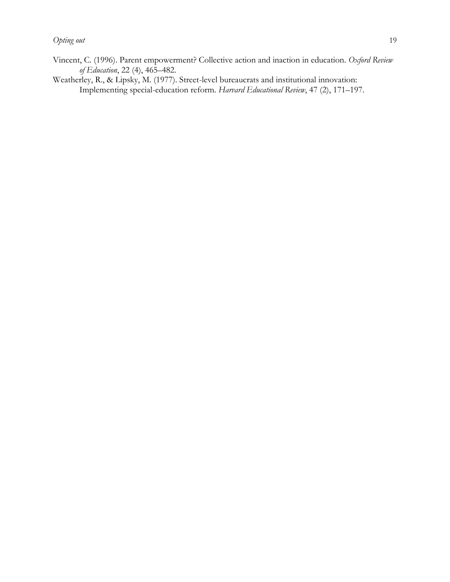Weatherley, R., & Lipsky, M. (1977). Street-level bureaucrats and institutional innovation: Implementing special-education reform. *Harvard Educational Review*, 47 (2), 171–197.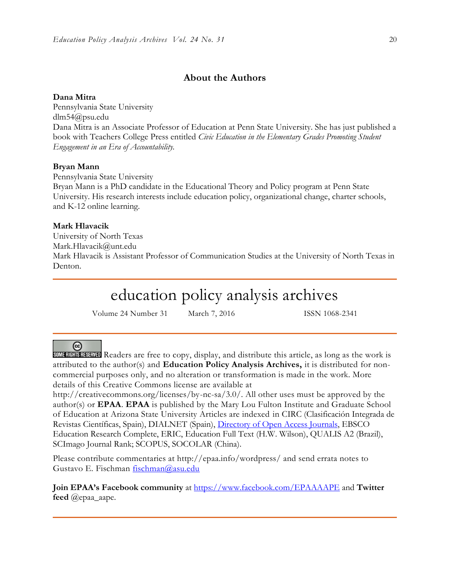## **About the Authors**

#### **Dana Mitra**

Pennsylvania State University dlm54@psu.edu Dana Mitra is an Associate Professor of Education at Penn State University. She has just published a book with Teachers College Press entitled *Civic Education in the Elementary Grades Promoting Student Engagement in an Era of Accountability.*

#### **Bryan Mann**

Pennsylvania State University

Bryan Mann is a PhD candidate in the Educational Theory and Policy program at Penn State University. His research interests include education policy, organizational change, charter schools, and K-12 online learning.

#### **Mark Hlavacik**

University of North Texas Mark.Hlavacik@unt.edu Mark Hlavacik is Assistant Professor of Communication Studies at the University of North Texas in Denton.

## education policy analysis archives

Volume 24 Number 31 March 7, 2016 ISSN 1068-2341

#### ල

SOME RIGHTS RESERVED Readers are free to copy, display, and distribute this article, as long as the work is attributed to the author(s) and **Education Policy Analysis Archives,** it is distributed for noncommercial purposes only, and no alteration or transformation is made in the work. More details of this Creative Commons license are available at

http://creativecommons.org/licenses/by-nc-sa/3.0/. All other uses must be approved by the author(s) or **EPAA**. **EPAA** is published by the Mary Lou Fulton Institute and Graduate School of Education at Arizona State University Articles are indexed in CIRC (Clasificación Integrada de Revistas Científicas, Spain), DIALNET (Spain), [Directory of Open Access Journals,](http://www.doaj.org/) EBSCO Education Research Complete, ERIC, Education Full Text (H.W. Wilson), QUALIS A2 (Brazil), SCImago Journal Rank; SCOPUS, SOCOLAR (China).

Please contribute commentaries at http://epaa.info/wordpress/ and send errata notes to Gustavo E. Fischman [fischman@asu.edu](mailto:fischman@asu.edu)

**Join EPAA's Facebook community** at<https://www.facebook.com/EPAAAAPE> and **Twitter feed** @epaa\_aape.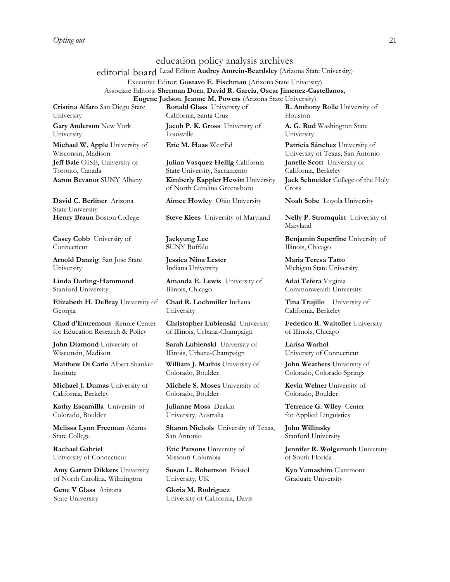#### education policy analysis archives

editorial board Lead Editor: **Audrey Amrein-Beardsley** (Arizona State University)

Executive Editor: **Gustavo E. Fischman** (Arizona State University) Associate Editors: **Sherman Dorn**, **David R. Garcia**, **Oscar Jimenez-Castellanos**, **Eugene Judson**, **Jeanne M. Powers** (Arizona State University)

**Cristina Alfaro** San Diego State University

**Gary Anderson** New York University

**Michael W. Apple** University of Wisconsin, Madison **Jeff Bale** OISE, University of Toronto, Canada

**David C. Berliner** Arizona State University

**Casey Cobb** University of Connecticut

**Arnold Danzig** San Jose State University

**Linda Darling-Hammond**  Stanford University

**Elizabeth H. DeBray** University of Georgia

**Chad d'Entremont** Rennie Center for Education Research & Policy

**John Diamond** University of Wisconsin, Madison

**Matthew Di Carlo** Albert Shanker Institute

**Michael J. Dumas** University of California, Berkeley

**Kathy Escamilla** University of Colorado, Boulder

**Melissa Lynn Freeman** Adams State College

**Rachael Gabriel** University of Connecticut

**Amy Garrett Dikkers** University of North Carolina, Wilmington

**Gene V Glass** Arizona State University

**Ronald Glass** University of California, Santa Cruz

**Jacob P. K. Gross** University of Louisville

**Julian Vasquez Heilig** California State University, Sacramento **Aaron Bevanot** SUNY Albany **Kimberly Kappler Hewitt** University of North Carolina Greensboro

**Aimee Howley** Ohio University **Noah Sobe** Loyola University

**Henry Braun** Boston College **Steve Klees** University of Maryland **Nelly P. Stromquist** University of

**Jaekyung Lee S**UNY Buffalo

**Jessica Nina Lester** Indiana University

**Amanda E. Lewis** University of Illinois, Chicago

**Chad R. Lochmiller** Indiana University

**Christopher Lubienski** University of Illinois, Urbana-Champaign

**Sarah Lubienski** University of Illinois, Urbana-Champaign

**William J. Mathis** University of Colorado, Boulder

**Michele S. Moses** University of

**Julianne Moss** Deakin University, Australia

Colorado, Boulder

**Sharon Nichols** University of Texas, San Antonio

**Eric Parsons** University of Missouri-Columbia

**Susan L. Robertson** Bristol University, UK

**Gloria M. Rodriguez** University of California, Davis **R. Anthony Rolle** University of **Houston** 

**A. G. Rud** Washington State University

**Eric M. Haas** WestEd **Patricia Sánchez** University of University of Texas, San Antonio **Janelle Scott** University of California, Berkeley **Jack Schneider** College of the Holy Cross

Maryland

**Benjamin Superfine** University of Illinois, Chicago

**Maria Teresa Tatto**  Michigan State University

**Adai Tefera** Virginia Commonwealth University

**Tina Trujillo** University of California, Berkeley

**Federico R. Waitoller** University of Illinois, Chicago

**Larisa Warhol** University of Connecticut

**John Weathers** University of Colorado, Colorado Springs

**Kevin Welner** University of Colorado, Boulder

**Terrence G. Wiley** Center for Applied Linguistics

**John Willinsky**  Stanford University

**Jennifer R. Wolgemuth** University of South Florida

**Kyo Yamashiro** Claremont Graduate University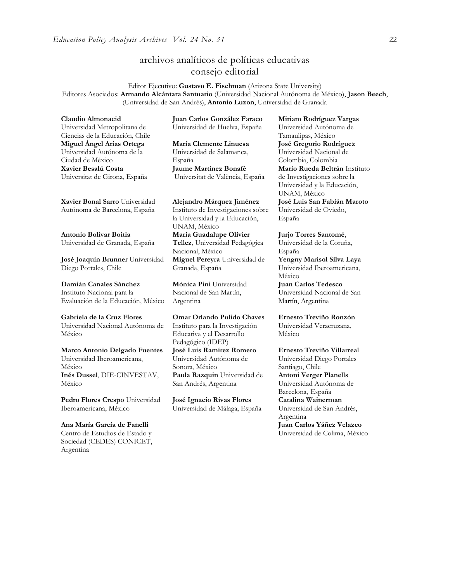## archivos analíticos de políticas educativas consejo editorial

Editor Ejecutivo: **Gustavo E. Fischman** (Arizona State University) Editores Asociados: **Armando Alcántara Santuario** (Universidad Nacional Autónoma de México), **Jason Beech**, (Universidad de San Andrés), **Antonio Luzon**, Universidad de Granada

**Claudio Almonacid** Universidad Metropolitana de Ciencias de la Educación, Chile **Miguel Ángel Arias Ortega**  Universidad Autónoma de la Ciudad de México **Xavier Besalú Costa**  Universitat de Girona, España

**[Xavier Bonal](javascript:openRTWindow() Sarro** Universidad Autónoma de Barcelona, España

**[Antonio Bolívar](javascript:openRTWindow() Boitia** Universidad de Granada, España

**[José Joaquín Brunner](javascript:openRTWindow()** Universidad Diego Portales, Chile

**[Damián Canales Sánchez](javascript:openRTWindow()** Instituto Nacional para la Evaluación de la Educación, México

**Gabriela de la Cruz Flores** Universidad Nacional Autónoma de México

**[Marco Antonio Delgado Fuentes](javascript:openRTWindow()** Universidad Iberoamericana, México **[Inés Dussel](javascript:openRTWindow()**, DIE-CINVESTAV, México

**[Pedro Flores Crespo](javascript:openRTWindow()** Universidad Iberoamericana, México

**Ana María García de Fanelli**  Centro de Estudios de Estado y Sociedad (CEDES) CONICET, Argentina

**Juan Carlos González Faraco**  Universidad de Huelva, España

**María Clemente Linuesa**  Universidad de Salamanca, España **Jaume Martínez Bonafé** Universitat de València, España

**Alejandro Márquez Jiménez**  Instituto de Investigaciones sobre la Universidad y la Educación, UNAM, México **María Guadalupe Olivier Tellez**, Universidad Pedagógica Nacional, México

**[Miguel Pereyra](javascript:openRTWindow()** Universidad de Granada, España

**[Mónica Pini](javascript:openRTWindow()** Universidad Nacional de San Martín, Argentina

**Omar Orlando Pulido Chaves** Instituto para la Investigación Educativa y el Desarrollo Pedagógico (IDEP) **[José Luis Ramírez](javascript:openRTWindow() Romero** Universidad Autónoma de Sonora, México **[Paula Razquin](javascript:openRTWindow()** Universidad de San Andrés, Argentina

**José Ignacio Rivas Flores** Universidad de Málaga, España **[Miriam Rodríguez Vargas](javascript:openRTWindow()** Universidad Autónoma de Tamaulipas, México **José Gregorio Rodríguez**  Universidad Nacional de Colombia, Colombia **[Mario Rueda Beltrán](javascript:openRTWindow()** Instituto de Investigaciones sobre la Universidad y la Educación, UNAM, México **José Luis San Fabián Maroto**  Universidad de Oviedo,

España

**[Jurjo Torres Santomé](javascript:openRTWindow()**, Universidad de la Coruña, España

**[Yengny Marisol Silva Laya](javascript:openRTWindow()** Universidad Iberoamericana, México

**Juan Carlos Tedesco** Universidad Nacional de San Martín, Argentina

**Ernesto Treviño Ronzón** Universidad Veracruzana, México

**[Ernesto Treviño](javascript:openRTWindow() Villarreal** Universidad Diego Portales Santiago, Chile **[Antoni Verger Planells](javascript:openRTWindow()** Universidad Autónoma de Barcelona, España **[Catalina Wainerman](javascript:openRTWindow()** Universidad de San Andrés, Argentina **Juan Carlos Yáñez Velazco** Universidad de Colima, México